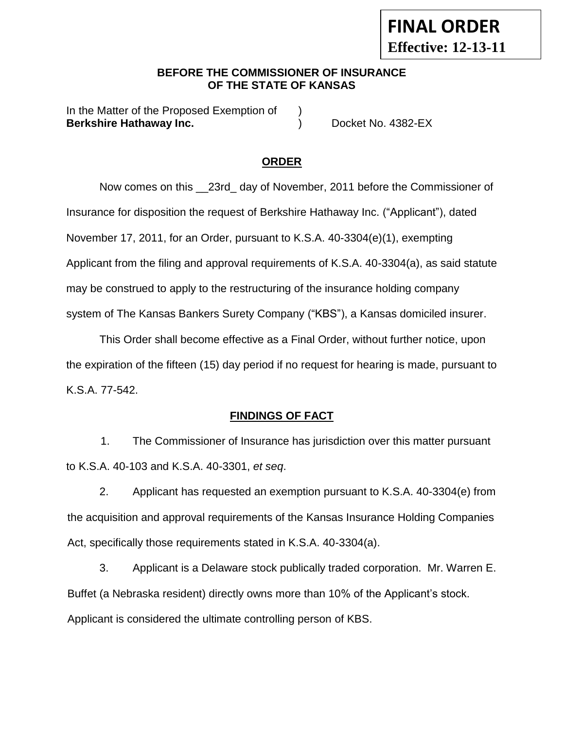### **BEFORE THE COMMISSIONER OF INSURANCE OF THE STATE OF KANSAS**

In the Matter of the Proposed Exemption of **Berkshire Hathaway Inc.** (a) The Docket No. 4382-EX

## **ORDER**

Now comes on this \_\_23rd\_ day of November, 2011 before the Commissioner of Insurance for disposition the request of Berkshire Hathaway Inc. ("Applicant"), dated November 17, 2011, for an Order, pursuant to K.S.A. 40-3304(e)(1), exempting Applicant from the filing and approval requirements of K.S.A. 40-3304(a), as said statute may be construed to apply to the restructuring of the insurance holding company system of The Kansas Bankers Surety Company ("KBS"), a Kansas domiciled insurer.

This Order shall become effective as a Final Order, without further notice, upon the expiration of the fifteen (15) day period if no request for hearing is made, pursuant to K.S.A. 77-542.

## **FINDINGS OF FACT**

1. The Commissioner of Insurance has jurisdiction over this matter pursuant to K.S.A. 40-103 and K.S.A. 40-3301, *et seq*.

2. Applicant has requested an exemption pursuant to K.S.A. 40-3304(e) from the acquisition and approval requirements of the Kansas Insurance Holding Companies Act, specifically those requirements stated in K.S.A. 40-3304(a).

3. Applicant is a Delaware stock publically traded corporation. Mr. Warren E. Buffet (a Nebraska resident) directly owns more than 10% of the Applicant's stock. Applicant is considered the ultimate controlling person of KBS.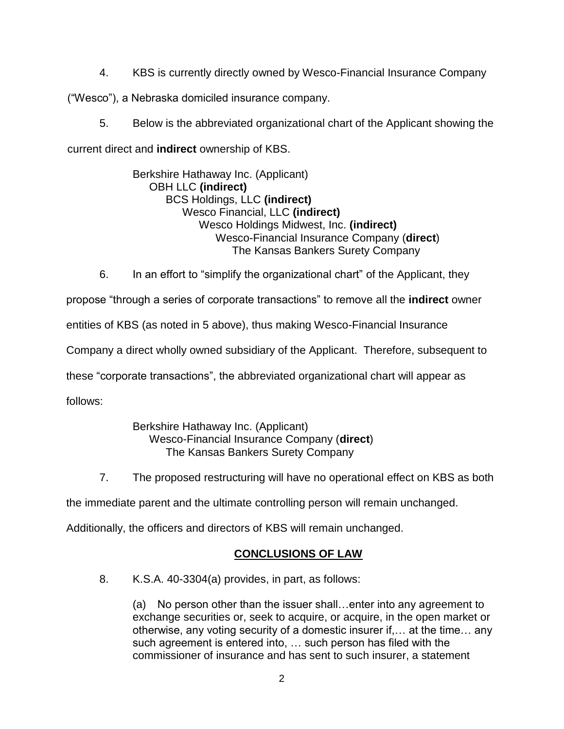4. KBS is currently directly owned by Wesco-Financial Insurance Company

("Wesco"), a Nebraska domiciled insurance company.

5. Below is the abbreviated organizational chart of the Applicant showing the

current direct and **indirect** ownership of KBS.

Berkshire Hathaway Inc. (Applicant) OBH LLC **(indirect)** BCS Holdings, LLC **(indirect)** Wesco Financial, LLC **(indirect)** Wesco Holdings Midwest, Inc. **(indirect)** Wesco-Financial Insurance Company (**direct**) The Kansas Bankers Surety Company

6. In an effort to "simplify the organizational chart" of the Applicant, they

propose "through a series of corporate transactions" to remove all the **indirect** owner

entities of KBS (as noted in 5 above), thus making Wesco-Financial Insurance

Company a direct wholly owned subsidiary of the Applicant. Therefore, subsequent to

these "corporate transactions", the abbreviated organizational chart will appear as

follows:

### Berkshire Hathaway Inc. (Applicant) Wesco-Financial Insurance Company (**direct**) The Kansas Bankers Surety Company

7. The proposed restructuring will have no operational effect on KBS as both

the immediate parent and the ultimate controlling person will remain unchanged.

Additionally, the officers and directors of KBS will remain unchanged.

# **CONCLUSIONS OF LAW**

8. K.S.A. 40-3304(a) provides, in part, as follows:

(a) No person other than the issuer shall…enter into any agreement to exchange securities or, seek to acquire, or acquire, in the open market or otherwise, any voting security of a domestic insurer if,… at the time… any such agreement is entered into, … such person has filed with the commissioner of insurance and has sent to such insurer, a statement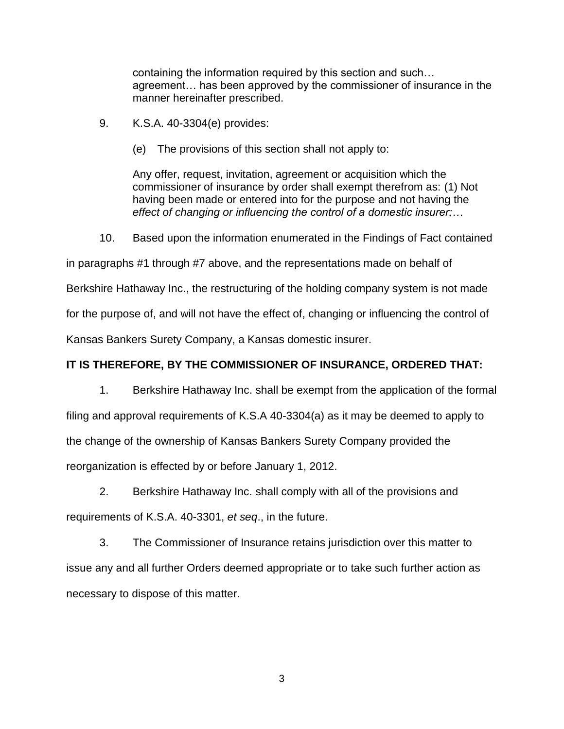containing the information required by this section and such… agreement… has been approved by the commissioner of insurance in the manner hereinafter prescribed.

- 9. K.S.A. 40-3304(e) provides:
	- (e) The provisions of this section shall not apply to:

Any offer, request, invitation, agreement or acquisition which the commissioner of insurance by order shall exempt therefrom as: (1) Not having been made or entered into for the purpose and not having the *effect of changing or influencing the control of a domestic insurer;…*

10. Based upon the information enumerated in the Findings of Fact contained

in paragraphs #1 through #7 above, and the representations made on behalf of

Berkshire Hathaway Inc., the restructuring of the holding company system is not made

for the purpose of, and will not have the effect of, changing or influencing the control of

Kansas Bankers Surety Company, a Kansas domestic insurer.

#### **IT IS THEREFORE, BY THE COMMISSIONER OF INSURANCE, ORDERED THAT:**

1. Berkshire Hathaway Inc. shall be exempt from the application of the formal filing and approval requirements of K.S.A 40-3304(a) as it may be deemed to apply to the change of the ownership of Kansas Bankers Surety Company provided the reorganization is effected by or before January 1, 2012.

2. Berkshire Hathaway Inc. shall comply with all of the provisions and requirements of K.S.A. 40-3301, *et seq*., in the future.

3. The Commissioner of Insurance retains jurisdiction over this matter to issue any and all further Orders deemed appropriate or to take such further action as necessary to dispose of this matter.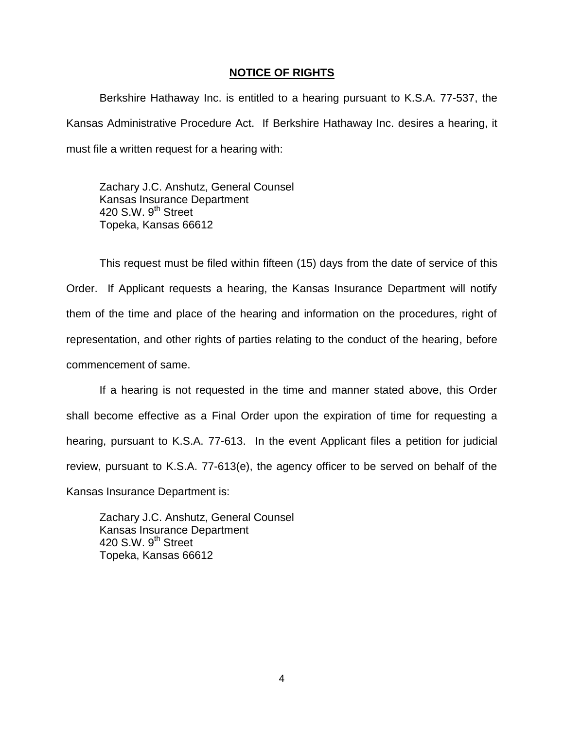#### **NOTICE OF RIGHTS**

Berkshire Hathaway Inc. is entitled to a hearing pursuant to K.S.A. 77-537, the Kansas Administrative Procedure Act. If Berkshire Hathaway Inc. desires a hearing, it must file a written request for a hearing with:

Zachary J.C. Anshutz, General Counsel Kansas Insurance Department 420 S.W.  $9<sup>th</sup>$  Street Topeka, Kansas 66612

This request must be filed within fifteen (15) days from the date of service of this Order. If Applicant requests a hearing, the Kansas Insurance Department will notify them of the time and place of the hearing and information on the procedures, right of representation, and other rights of parties relating to the conduct of the hearing, before commencement of same.

If a hearing is not requested in the time and manner stated above, this Order shall become effective as a Final Order upon the expiration of time for requesting a hearing, pursuant to K.S.A. 77-613. In the event Applicant files a petition for judicial review, pursuant to K.S.A. 77-613(e), the agency officer to be served on behalf of the Kansas Insurance Department is:

Zachary J.C. Anshutz, General Counsel Kansas Insurance Department 420 S.W.  $9<sup>th</sup>$  Street Topeka, Kansas 66612